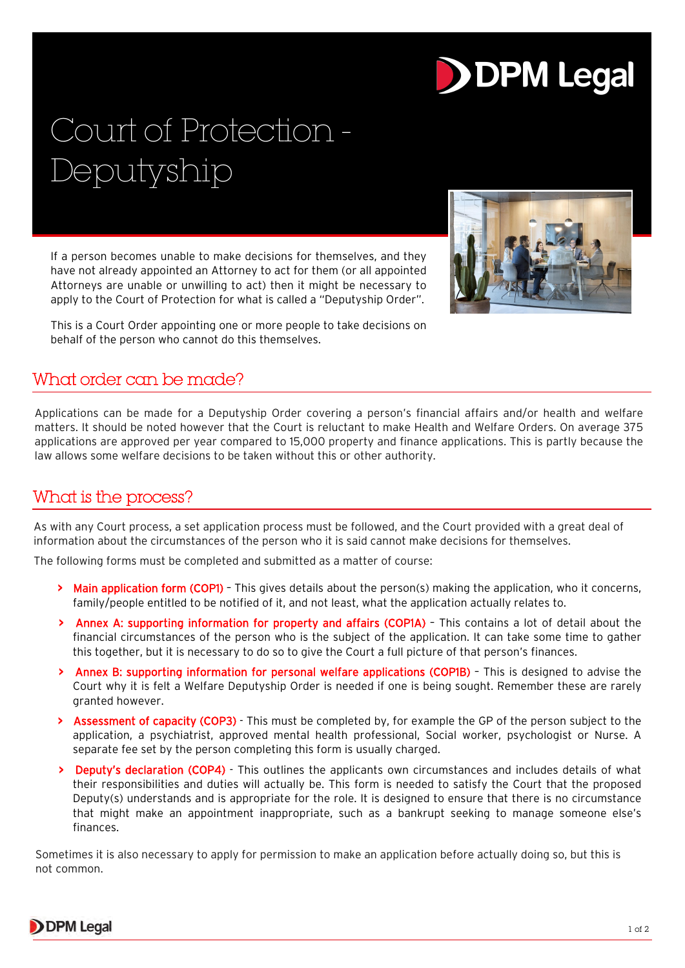# **DDPM Legal**

## Court of Protection - Deputyship

If a person becomes unable to make decisions for themselves, and they have not already appointed an Attorney to act for them (or all appointed Attorneys are unable or unwilling to act) then it might be necessary to apply to the Court of Protection for what is called a "Deputyship Order".



This is a Court Order appointing one or more people to take decisions on behalf of the person who cannot do this themselves.

### What order can be made?

Applications can be made for a Deputyship Order covering a person's financial affairs and/or health and welfare matters. It should be noted however that the Court is reluctant to make Health and Welfare Orders. On average 375 applications are approved per year compared to 15,000 property and finance applications. This is partly because the law allows some welfare decisions to be taken without this or other authority.

### What is the process?

As with any Court process, a set application process must be followed, and the Court provided with a great deal of information about the circumstances of the person who it is said cannot make decisions for themselves.

The following forms must be completed and submitted as a matter of course:

- **>** Main application form (COP1) This gives details about the person(s) making the application, who it concerns, family/people entitled to be notified of it, and not least, what the application actually relates to.
- **>** Annex A: supporting information for property and affairs (COP1A) This contains a lot of detail about the financial circumstances of the person who is the subject of the application. It can take some time to gather this together, but it is necessary to do so to give the Court a full picture of that person's finances.
- **>** Annex B: supporting information for personal welfare applications (COP1B) This is designed to advise the Court why it is felt a Welfare Deputyship Order is needed if one is being sought. Remember these are rarely granted however.
- **>** Assessment of capacity (COP3) This must be completed by, for example the GP of the person subject to the application, a psychiatrist, approved mental health professional, Social worker, psychologist or Nurse. A separate fee set by the person completing this form is usually charged.
- **>** Deputy's declaration (COP4) This outlines the applicants own circumstances and includes details of what their responsibilities and duties will actually be. This form is needed to satisfy the Court that the proposed Deputy(s) understands and is appropriate for the role. It is designed to ensure that there is no circumstance that might make an appointment inappropriate, such as a bankrupt seeking to manage someone else's finances.

Sometimes it is also necessary to apply for permission to make an application before actually doing so, but this is not common.